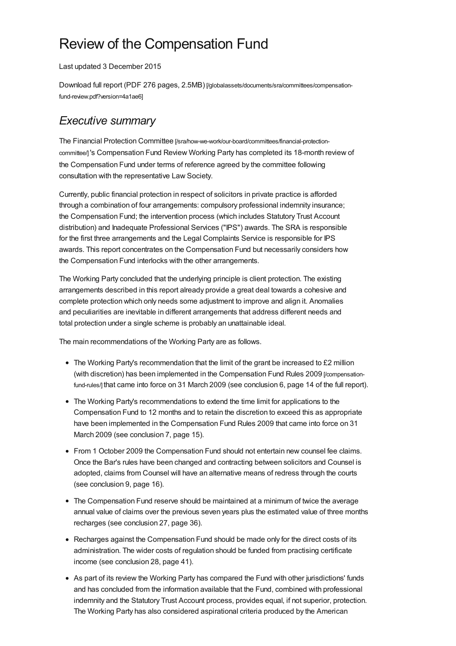## Review of the Compensation Fund

Last updated 3 December 2015

Download full report (PDF 276 pages, 2.5MB) [\[/globalassets/documents/sra/committees/compensation](https://www.sra.org.uk/globalassets/documents/sra/committees/compensation-fund-review.pdf?version=4a1ae6)fund-review.pdf?version=4a1ae6]

## *Executive summary*

The Financial Protection Committee [\[/sra/how-we-work/our-board/committees/financial-protection](https://www.sra.org.uk/sra/how-we-work/our-board/committees/financial-protection-committee/)committee/] 's Compensation Fund Review Working Party has completed its 18-month review of the Compensation Fund under terms of reference agreed by the committee following consultation with the representative Law Society.

Currently, public financial protection in respect of solicitors in private practice is afforded through a combination of four arrangements: compulsory professional indemnity insurance; the Compensation Fund; the intervention process (which includes Statutory Trust Account distribution) and Inadequate Professional Services ("IPS") awards. The SRA is responsible for the first three arrangements and the Legal Complaints Service is responsible for IPS awards. This report concentrates on the Compensation Fund but necessarily considers how the Compensation Fund interlocks with the other arrangements.

The Working Party concluded that the underlying principle is client protection. The existing arrangements described in this report already provide a great deal towards a cohesive and complete protection which only needs some adjustment to improve and align it. Anomalies and peculiarities are inevitable in different arrangements that address different needs and total protection under a single scheme is probably an unattainable ideal.

The main recommendations of the Working Party are as follows.

- The Working Party's recommendation that the limit of the grant be increased to £2 million (with discretion) has been implemented in the [Compensation](https://www.sra.org.uk/compensation-fund-rules/) Fund Rules 2009 [/compensationfund-rules/] that came into force on 31 March 2009 (see conclusion 6, page 14 of the full report).
- The Working Party's recommendations to extend the time limit for applications to the Compensation Fund to 12 months and to retain the discretion to exceed this as appropriate have been implemented in the Compensation Fund Rules 2009 that came into force on 31 March 2009 (see conclusion 7, page 15).
- From 1 October 2009 the Compensation Fund should not entertain new counsel fee claims. Once the Bar's rules have been changed and contracting between solicitors and Counsel is adopted, claims from Counsel will have an alternative means of redress through the courts (see conclusion 9, page 16).
- The Compensation Fund reserve should be maintained at a minimum of twice the average annual value of claims over the previous seven years plus the estimated value of three months recharges (see conclusion 27, page 36).
- Recharges against the Compensation Fund should be made only for the direct costs of its administration. The wider costs of regulation should be funded from practising certificate income (see conclusion 28, page 41).
- As part of its review the Working Party has compared the Fund with other jurisdictions' funds and has concluded from the information available that the Fund, combined with professional indemnity and the Statutory Trust Account process, provides equal, if not superior, protection. The Working Party has also considered aspirational criteria produced by the American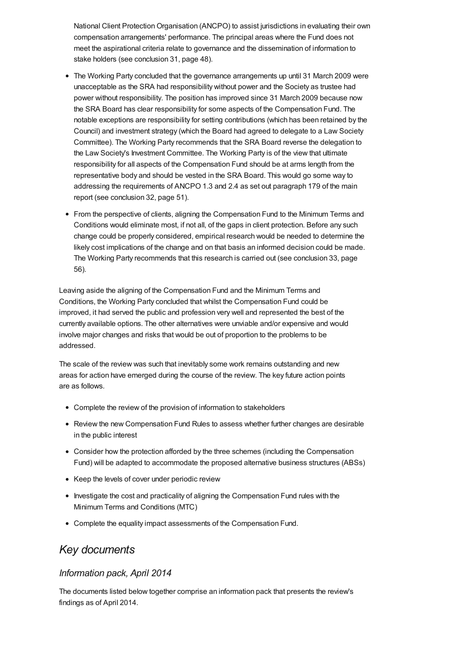National Client Protection Organisation (ANCPO) to assist jurisdictions in evaluating their own compensation arrangements' performance. The principal areas where the Fund does not meet the aspirational criteria relate to governance and the dissemination of information to stake holders (see conclusion 31, page 48).

- The Working Party concluded that the governance arrangements up until 31 March 2009 were unacceptable as the SRA had responsibility without power and the Society as trustee had power without responsibility. The position has improved since 31 March 2009 because now the SRA Board has clear responsibility for some aspects of the Compensation Fund. The notable exceptions are responsibility for setting contributions (which has been retained by the Council) and investment strategy (which the Board had agreed to delegate to a Law Society Committee). The Working Party recommends that the SRA Board reverse the delegation to the Law Society's Investment Committee. The Working Party is of the view that ultimate responsibility for all aspects of the Compensation Fund should be at arms length from the representative body and should be vested in the SRA Board. This would go some way to addressing the requirements of ANCPO 1.3 and 2.4 as set out paragraph 179 of the main report (see conclusion 32, page 51).
- From the perspective of clients, aligning the Compensation Fund to the Minimum Terms and Conditions would eliminate most, if not all, of the gaps in client protection. Before any such change could be properly considered, empirical research would be needed to determine the likely cost implications of the change and on that basis an informed decision could be made. The Working Party recommends that this research is carried out (see conclusion 33, page 56).

Leaving aside the aligning of the Compensation Fund and the Minimum Terms and Conditions, the Working Party concluded that whilst the Compensation Fund could be improved, it had served the public and profession very well and represented the best of the currently available options. The other alternatives were unviable and/or expensive and would involve major changes and risks that would be out of proportion to the problems to be addressed.

The scale of the review was such that inevitably some work remains outstanding and new areas for action have emerged during the course of the review. The key future action points are as follows.

- Complete the review of the provision of information to stakeholders
- Review the new Compensation Fund Rules to assess whether further changes are desirable in the public interest
- Consider how the protection afforded by the three schemes (including the Compensation Fund) will be adapted to accommodate the proposed alternative business structures (ABSs)
- Keep the levels of cover under periodic review
- Investigate the cost and practicality of aligning the Compensation Fund rules with the Minimum Terms and Conditions (MTC)
- Complete the equality impact assessments of the Compensation Fund.

## *Key documents*

## *Information pack, April 2014*

The documents listed below together comprise an information pack that presents the review's findings as of April 2014.